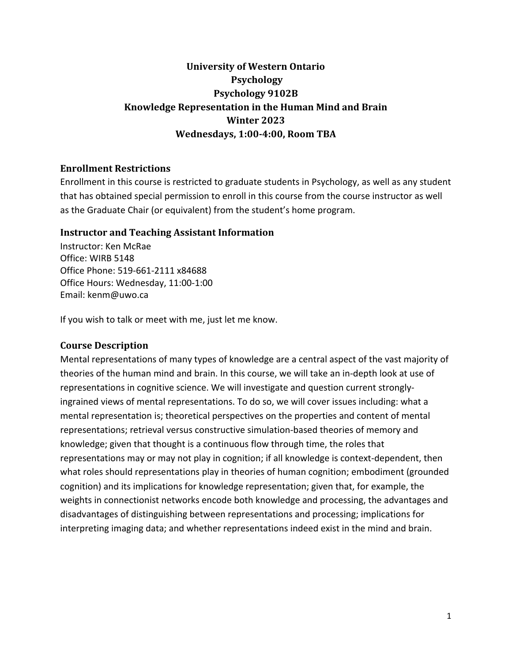# **University of Western Ontario Psychology Psychology 9102B Knowledge Representation in the Human Mind and Brain Winter 2023 Wednesdays, 1:00-4:00, Room TBA**

### **Enrollment Restrictions**

Enrollment in this course is restricted to graduate students in Psychology, as well as any student that has obtained special permission to enroll in this course from the course instructor as well as the Graduate Chair (or equivalent) from the student's home program.

#### **Instructor and Teaching Assistant Information**

Instructor: Ken McRae Office: WIRB 5148 Office Phone: 519-661-2111 x84688 Office Hours: Wednesday, 11:00-1:00 Email: kenm@uwo.ca

If you wish to talk or meet with me, just let me know.

#### **Course Description**

Mental representations of many types of knowledge are a central aspect of the vast majority of theories of the human mind and brain. In this course, we will take an in-depth look at use of representations in cognitive science. We will investigate and question current stronglyingrained views of mental representations. To do so, we will cover issues including: what a mental representation is; theoretical perspectives on the properties and content of mental representations; retrieval versus constructive simulation-based theories of memory and knowledge; given that thought is a continuous flow through time, the roles that representations may or may not play in cognition; if all knowledge is context-dependent, then what roles should representations play in theories of human cognition; embodiment (grounded cognition) and its implications for knowledge representation; given that, for example, the weights in connectionist networks encode both knowledge and processing, the advantages and disadvantages of distinguishing between representations and processing; implications for interpreting imaging data; and whether representations indeed exist in the mind and brain.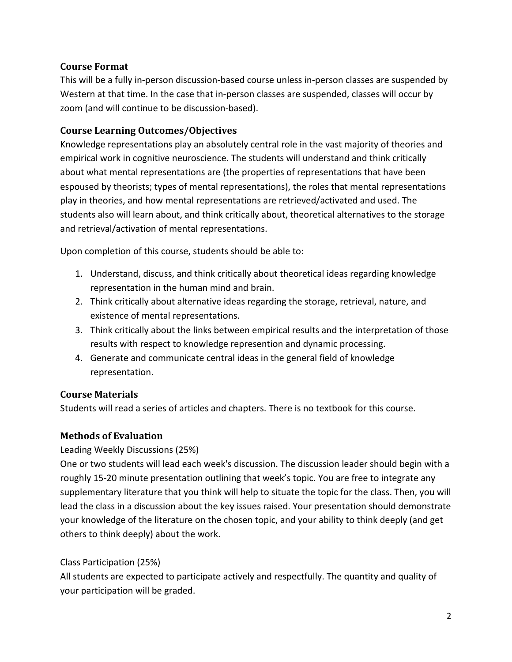# **Course Format**

This will be a fully in-person discussion-based course unless in-person classes are suspended by Western at that time. In the case that in-person classes are suspended, classes will occur by zoom (and will continue to be discussion-based).

## **Course Learning Outcomes/Objectives**

Knowledge representations play an absolutely central role in the vast majority of theories and empirical work in cognitive neuroscience. The students will understand and think critically about what mental representations are (the properties of representations that have been espoused by theorists; types of mental representations), the roles that mental representations play in theories, and how mental representations are retrieved/activated and used. The students also will learn about, and think critically about, theoretical alternatives to the storage and retrieval/activation of mental representations.

Upon completion of this course, students should be able to:

- 1. Understand, discuss, and think critically about theoretical ideas regarding knowledge representation in the human mind and brain.
- 2. Think critically about alternative ideas regarding the storage, retrieval, nature, and existence of mental representations.
- 3. Think critically about the links between empirical results and the interpretation of those results with respect to knowledge represention and dynamic processing.
- 4. Generate and communicate central ideas in the general field of knowledge representation.

# **Course Materials**

Students will read a series of articles and chapters. There is no textbook for this course.

# **Methods of Evaluation**

#### Leading Weekly Discussions (25%)

One or two students will lead each week's discussion. The discussion leader should begin with a roughly 15-20 minute presentation outlining that week's topic. You are free to integrate any supplementary literature that you think will help to situate the topic for the class. Then, you will lead the class in a discussion about the key issues raised. Your presentation should demonstrate your knowledge of the literature on the chosen topic, and your ability to think deeply (and get others to think deeply) about the work.

# Class Participation (25%)

All students are expected to participate actively and respectfully. The quantity and quality of your participation will be graded.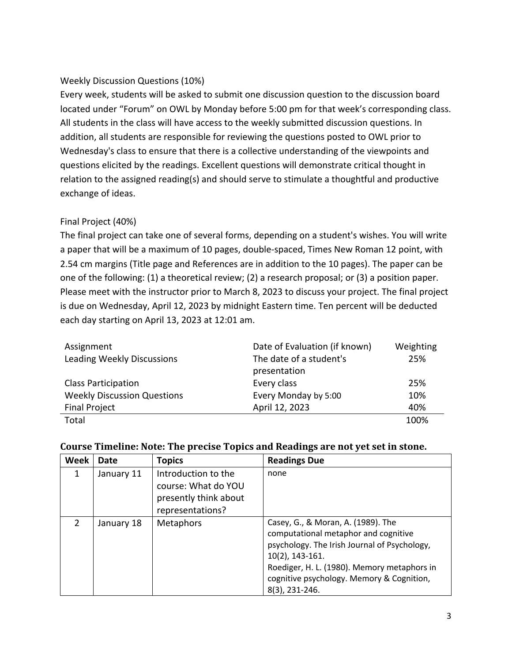### Weekly Discussion Questions (10%)

Every week, students will be asked to submit one discussion question to the discussion board located under "Forum" on OWL by Monday before 5:00 pm for that week's corresponding class. All students in the class will have access to the weekly submitted discussion questions. In addition, all students are responsible for reviewing the questions posted to OWL prior to Wednesday's class to ensure that there is a collective understanding of the viewpoints and questions elicited by the readings. Excellent questions will demonstrate critical thought in relation to the assigned reading(s) and should serve to stimulate a thoughtful and productive exchange of ideas.

#### Final Project (40%)

The final project can take one of several forms, depending on a student's wishes. You will write a paper that will be a maximum of 10 pages, double-spaced, Times New Roman 12 point, with 2.54 cm margins (Title page and References are in addition to the 10 pages). The paper can be one of the following: (1) a theoretical review; (2) a research proposal; or (3) a position paper. Please meet with the instructor prior to March 8, 2023 to discuss your project. The final project is due on Wednesday, April 12, 2023 by midnight Eastern time. Ten percent will be deducted each day starting on April 13, 2023 at 12:01 am.

| Assignment                         | Date of Evaluation (if known) | Weighting |
|------------------------------------|-------------------------------|-----------|
| Leading Weekly Discussions         | The date of a student's       | 25%       |
|                                    | presentation                  |           |
| <b>Class Participation</b>         | Every class                   | 25%       |
| <b>Weekly Discussion Questions</b> | Every Monday by 5:00          | 10%       |
| <b>Final Project</b>               | April 12, 2023                | 40%       |
| Total                              |                               | 100%      |

| Week           | Date       | <b>Topics</b>                                                                           | <b>Readings Due</b>                                                                                                                                                                                                                                            |
|----------------|------------|-----------------------------------------------------------------------------------------|----------------------------------------------------------------------------------------------------------------------------------------------------------------------------------------------------------------------------------------------------------------|
| 1              | January 11 | Introduction to the<br>course: What do YOU<br>presently think about<br>representations? | none                                                                                                                                                                                                                                                           |
| $\overline{2}$ | January 18 | <b>Metaphors</b>                                                                        | Casey, G., & Moran, A. (1989). The<br>computational metaphor and cognitive<br>psychology. The Irish Journal of Psychology,<br>$10(2)$ , 143-161.<br>Roediger, H. L. (1980). Memory metaphors in<br>cognitive psychology. Memory & Cognition,<br>8(3), 231-246. |

#### Course Timeline: Note: The precise Topics and Readings are not vet set in stone.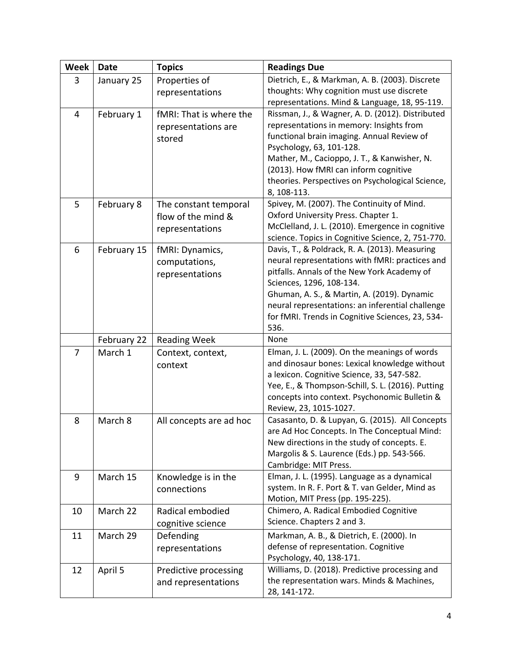| <b>Week</b>    | <b>Date</b> | <b>Topics</b>           | <b>Readings Due</b>                                                    |  |
|----------------|-------------|-------------------------|------------------------------------------------------------------------|--|
| 3              | January 25  | Properties of           | Dietrich, E., & Markman, A. B. (2003). Discrete                        |  |
|                |             | representations         | thoughts: Why cognition must use discrete                              |  |
|                |             |                         | representations. Mind & Language, 18, 95-119.                          |  |
| $\overline{4}$ | February 1  | fMRI: That is where the | Rissman, J., & Wagner, A. D. (2012). Distributed                       |  |
|                |             | representations are     | representations in memory: Insights from                               |  |
|                |             | stored                  | functional brain imaging. Annual Review of<br>Psychology, 63, 101-128. |  |
|                |             |                         | Mather, M., Cacioppo, J. T., & Kanwisher, N.                           |  |
|                |             |                         | (2013). How fMRI can inform cognitive                                  |  |
|                |             |                         | theories. Perspectives on Psychological Science,                       |  |
|                |             |                         | 8, 108-113.                                                            |  |
| 5              | February 8  | The constant temporal   | Spivey, M. (2007). The Continuity of Mind.                             |  |
|                |             | flow of the mind &      | Oxford University Press. Chapter 1.                                    |  |
|                |             | representations         | McClelland, J. L. (2010). Emergence in cognitive                       |  |
|                |             |                         | science. Topics in Cognitive Science, 2, 751-770.                      |  |
| 6              | February 15 | fMRI: Dynamics,         | Davis, T., & Poldrack, R. A. (2013). Measuring                         |  |
|                |             | computations,           | neural representations with fMRI: practices and                        |  |
|                |             | representations         | pitfalls. Annals of the New York Academy of                            |  |
|                |             |                         | Sciences, 1296, 108-134.                                               |  |
|                |             |                         | Ghuman, A. S., & Martin, A. (2019). Dynamic                            |  |
|                |             |                         | neural representations: an inferential challenge                       |  |
|                |             |                         | for fMRI. Trends in Cognitive Sciences, 23, 534-<br>536.               |  |
|                | February 22 | <b>Reading Week</b>     | None                                                                   |  |
| $\overline{7}$ | March 1     | Context, context,       | Elman, J. L. (2009). On the meanings of words                          |  |
|                |             | context                 | and dinosaur bones: Lexical knowledge without                          |  |
|                |             |                         | a lexicon. Cognitive Science, 33, 547-582.                             |  |
|                |             |                         | Yee, E., & Thompson-Schill, S. L. (2016). Putting                      |  |
|                |             |                         | concepts into context. Psychonomic Bulletin &                          |  |
|                |             |                         | Review, 23, 1015-1027.                                                 |  |
| 8              | March 8     | All concepts are ad hoc | Casasanto, D. & Lupyan, G. (2015). All Concepts                        |  |
|                |             |                         | are Ad Hoc Concepts. In The Conceptual Mind:                           |  |
|                |             |                         | New directions in the study of concepts. E.                            |  |
|                |             |                         | Margolis & S. Laurence (Eds.) pp. 543-566.<br>Cambridge: MIT Press.    |  |
| 9              | March 15    | Knowledge is in the     | Elman, J. L. (1995). Language as a dynamical                           |  |
|                |             | connections             | system. In R. F. Port & T. van Gelder, Mind as                         |  |
|                |             |                         | Motion, MIT Press (pp. 195-225).                                       |  |
| 10             | March 22    | Radical embodied        | Chimero, A. Radical Embodied Cognitive                                 |  |
|                |             | cognitive science       | Science. Chapters 2 and 3.                                             |  |
| 11             | March 29    | Defending               | Markman, A. B., & Dietrich, E. (2000). In                              |  |
|                |             | representations         | defense of representation. Cognitive                                   |  |
|                |             |                         | Psychology, 40, 138-171.                                               |  |
| 12             | April 5     | Predictive processing   | Williams, D. (2018). Predictive processing and                         |  |
|                |             | and representations     | the representation wars. Minds & Machines,                             |  |
|                |             |                         | 28, 141-172.                                                           |  |